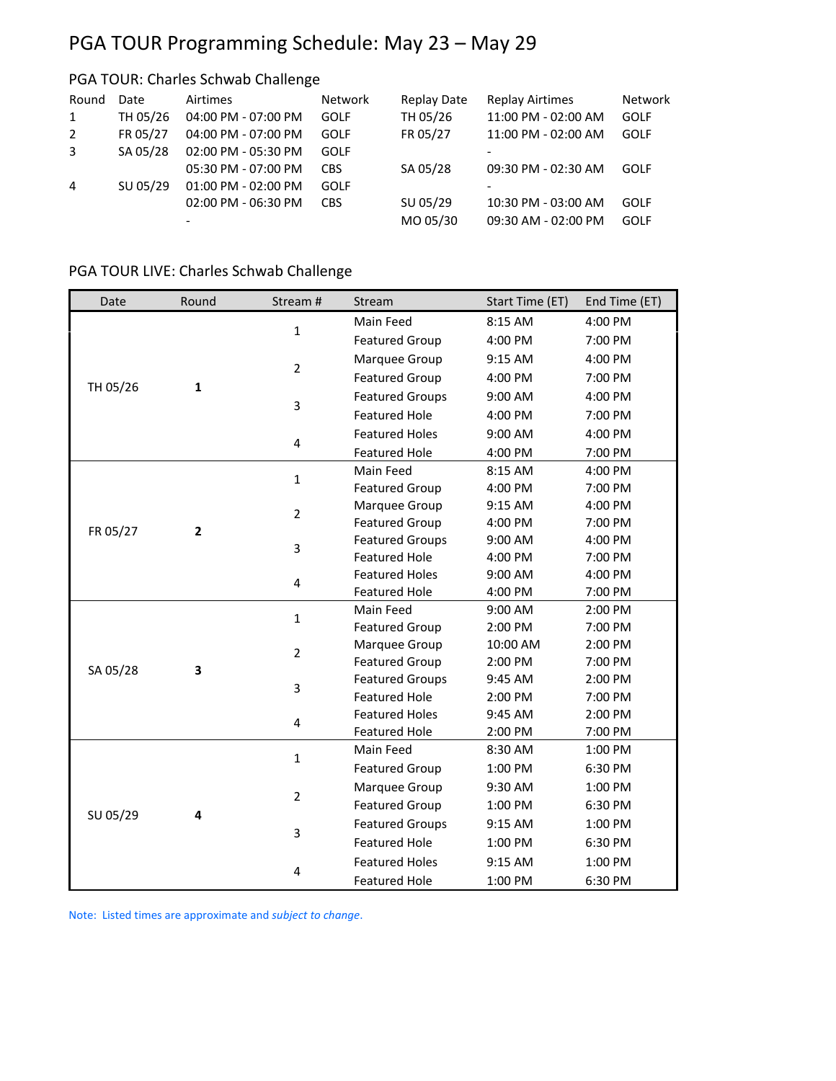# PGA TOUR Programming Schedule: May 23 – May 29

# PGA TOUR: Charles Schwab Challenge

| Round<br>1<br>2<br>3 | Date<br>TH 05/26<br>FR 05/27<br>SA 05/28 | Airtimes<br>04:00 PM - 07:00 PM<br>04:00 PM - 07:00 PM<br>02:00 PM - 05:30 PM | <b>Network</b><br><b>GOLF</b><br><b>GOLF</b><br><b>GOLF</b> | Replay Date<br>TH 05/26<br>FR 05/27 | <b>Replay Airtimes</b><br>11:00 PM - 02:00 AM<br>11:00 PM - 02:00 AM | Network<br><b>GOLF</b><br><b>GOLF</b> |
|----------------------|------------------------------------------|-------------------------------------------------------------------------------|-------------------------------------------------------------|-------------------------------------|----------------------------------------------------------------------|---------------------------------------|
| $\overline{4}$       | SU 05/29                                 | 05:30 PM - 07:00 PM<br>01:00 PM - 02:00 PM                                    | <b>CBS</b><br><b>GOLF</b>                                   | SA 05/28                            | 09:30 PM - 02:30 AM                                                  | GOLF                                  |
|                      |                                          | 02:00 PM - 06:30 PM<br>-                                                      | <b>CBS</b>                                                  | SU 05/29<br>MO 05/30                | 10:30 PM - 03:00 AM<br>09:30 AM - 02:00 PM                           | <b>GOLF</b><br>GOLF                   |

## PGA TOUR LIVE: Charles Schwab Challenge

| Date     | Round        | Stream #       | Stream                 | Start Time (ET) | End Time (ET) |
|----------|--------------|----------------|------------------------|-----------------|---------------|
|          |              |                | Main Feed              | 8:15 AM         | 4:00 PM       |
|          |              | $\mathbf{1}$   | <b>Featured Group</b>  | 4:00 PM         | 7:00 PM       |
|          |              |                | Marquee Group          | 9:15 AM         | 4:00 PM       |
|          |              | $\overline{2}$ | <b>Featured Group</b>  | 4:00 PM         | 7:00 PM       |
| TH 05/26 | $\mathbf{1}$ |                | <b>Featured Groups</b> | 9:00 AM         | 4:00 PM       |
|          |              | 3              | <b>Featured Hole</b>   | 4:00 PM         | 7:00 PM       |
|          |              |                | <b>Featured Holes</b>  | 9:00 AM         | 4:00 PM       |
|          |              | 4              | <b>Featured Hole</b>   | 4:00 PM         | 7:00 PM       |
|          |              |                | Main Feed              | 8:15 AM         | 4:00 PM       |
|          |              | $\mathbf{1}$   | <b>Featured Group</b>  | 4:00 PM         | 7:00 PM       |
| FR 05/27 |              | $\overline{2}$ | Marquee Group          | 9:15 AM         | 4:00 PM       |
|          | 2            |                | <b>Featured Group</b>  | 4:00 PM         | 7:00 PM       |
|          |              | 3              | <b>Featured Groups</b> | 9:00 AM         | 4:00 PM       |
|          |              |                | <b>Featured Hole</b>   | 4:00 PM         | 7:00 PM       |
|          |              | 4              | <b>Featured Holes</b>  | 9:00 AM         | 4:00 PM       |
|          |              |                | <b>Featured Hole</b>   | 4:00 PM         | 7:00 PM       |
|          |              | $\mathbf{1}$   | Main Feed              | 9:00 AM         | 2:00 PM       |
|          |              |                | <b>Featured Group</b>  | 2:00 PM         | 7:00 PM       |
|          |              | $\overline{2}$ | Marquee Group          | 10:00 AM        | 2:00 PM       |
|          | 3            |                | <b>Featured Group</b>  | 2:00 PM         | 7:00 PM       |
| SA 05/28 |              | 3              | <b>Featured Groups</b> | 9:45 AM         | 2:00 PM       |
|          |              |                | <b>Featured Hole</b>   | 2:00 PM         | 7:00 PM       |
|          |              | 4              | <b>Featured Holes</b>  | 9:45 AM         | 2:00 PM       |
|          |              |                | <b>Featured Hole</b>   | 2:00 PM         | 7:00 PM       |
|          |              |                | Main Feed              | 8:30 AM         | 1:00 PM       |
|          |              | $\mathbf{1}$   | <b>Featured Group</b>  | 1:00 PM         | 6:30 PM       |
|          |              |                | Marquee Group          | 9:30 AM         | 1:00 PM       |
|          |              | $\overline{2}$ | <b>Featured Group</b>  | 1:00 PM         | 6:30 PM       |
| SU 05/29 | 4            | 3              | <b>Featured Groups</b> | 9:15 AM         | 1:00 PM       |
|          |              |                | <b>Featured Hole</b>   | 1:00 PM         | 6:30 PM       |
|          |              |                | <b>Featured Holes</b>  | $9:15$ AM       | 1:00 PM       |
|          |              | 4              | <b>Featured Hole</b>   | 1:00 PM         | 6:30 PM       |

Note: Listed times are approximate and *subject to change*.